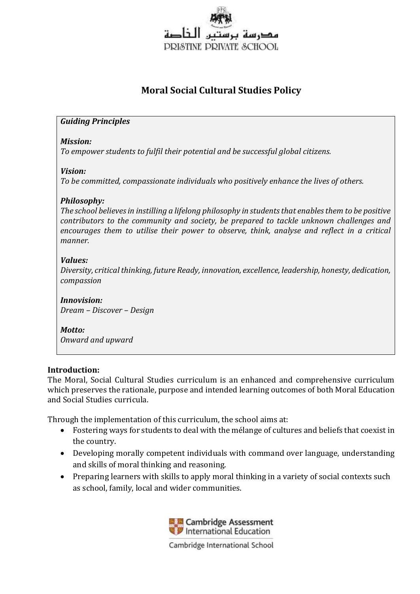

# **Moral Social Cultural Studies Policy**

# *Guiding Principles*

#### *Mission:*

*To empower students to fulfil their potential and be successful global citizens.*

# *Vision:*

*To be committed, compassionate individuals who positively enhance the lives of others.*

# *Philosophy:*

*The school believes in instilling a lifelong philosophy in students that enables them to be positive contributors to the community and society, be prepared to tackle unknown challenges and encourages them to utilise their power to observe, think, analyse and reflect in a critical manner.*

# *Values:*

*Diversity, critical thinking, future Ready, innovation, excellence, leadership, honesty, dedication, compassion*

*Innovision: Dream – Discover – Design*

#### *Motto: Onward and upward*

## **Introduction:**

The Moral, Social Cultural Studies curriculum is an enhanced and comprehensive curriculum which preserves the rationale, purpose and intended learning outcomes of both Moral Education and Social Studies curricula.

Through the implementation of this curriculum, the school aims at:

- Fostering ways for students to deal with the mélange of cultures and beliefs that coexist in the country.
- Developing morally competent individuals with command over language, understanding and skills of moral thinking and reasoning.
- Preparing learners with skills to apply moral thinking in a variety of social contexts such as school, family, local and wider communities.

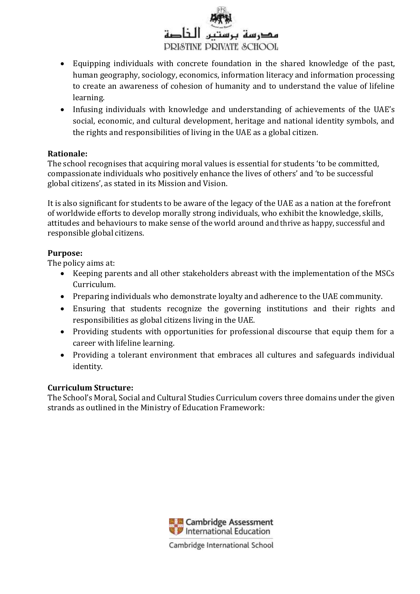

- Equipping individuals with concrete foundation in the shared knowledge of the past, human geography, sociology, economics, information literacy and information processing to create an awareness of cohesion of humanity and to understand the value of lifeline learning.
- Infusing individuals with knowledge and understanding of achievements of the UAE's social, economic, and cultural development, heritage and national identity symbols, and the rights and responsibilities of living in the UAE as a global citizen.

# **Rationale:**

The school recognises that acquiring moral values is essential for students 'to be committed, compassionate individuals who positively enhance the lives of others' and 'to be successful global citizens', as stated in its Mission and Vision.

It is also significant for students to be aware of the legacy of the UAE as a nation at the forefront of worldwide efforts to develop morally strong individuals, who exhibit the knowledge, skills, attitudes and behaviours to make sense of the world around and thrive as happy, successful and responsible global citizens.

# **Purpose:**

The policy aims at:

- Keeping parents and all other stakeholders abreast with the implementation of the MSCs Curriculum.
- Preparing individuals who demonstrate loyalty and adherence to the UAE community.
- Ensuring that students recognize the governing institutions and their rights and responsibilities as global citizens living in the UAE.
- Providing students with opportunities for professional discourse that equip them for a career with lifeline learning.
- Providing a tolerant environment that embraces all cultures and safeguards individual identity.

## **Curriculum Structure:**

The School's Moral, Social and Cultural Studies Curriculum covers three domains under the given strands as outlined in the Ministry of Education Framework:

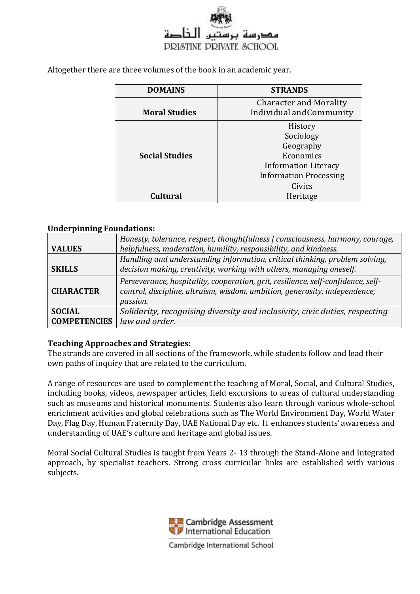

Altogether there are three volumes of the book in an academic year.

| <b>DOMAINS</b>        | <b>STRANDS</b>                                            |
|-----------------------|-----------------------------------------------------------|
| <b>Moral Studies</b>  | <b>Character and Morality</b><br>Individual and Community |
|                       | History                                                   |
|                       | Sociology                                                 |
|                       | Geography                                                 |
| <b>Social Studies</b> | Economics                                                 |
|                       | <b>Information Literacy</b>                               |
|                       | <b>Information Processing</b>                             |
|                       | Civics                                                    |
| <b>Cultural</b>       | Heritage                                                  |

#### **Underpinning Foundations:**

|                                      | Honesty, tolerance, respect, thoughtfulness   consciousness, harmony, courage,                                                                                             |
|--------------------------------------|----------------------------------------------------------------------------------------------------------------------------------------------------------------------------|
| <b>VALUES</b>                        | helpfulness, moderation, humility, responsibility, and kindness.                                                                                                           |
|                                      | Handling and understanding information, critical thinking, problem solving,                                                                                                |
| <b>SKILLS</b>                        | decision making, creativity, working with others, managing oneself.                                                                                                        |
| <b>CHARACTER</b>                     | Perseverance, hospitality, cooperation, grit, resilience, self-confidence, self-<br>control, discipline, altruism, wisdom, ambition, generosity, independence,<br>passion. |
| <b>SOCIAL</b><br><b>COMPETENCIES</b> | Solidarity, recognising diversity and inclusivity, civic duties, respecting<br>law and order.                                                                              |

#### **Teaching Approaches and Strategies:**

The strands are covered in all sections of the framework, while students follow and lead their own paths of inquiry that are related to the curriculum.

A range of resources are used to complement the teaching of Moral, Social, and Cultural Studies, including books, videos, newspaper articles, field excursions to areas of cultural understanding such as museums and historical monuments. Students also learn through various whole-school enrichment activities and global celebrations such as The World Environment Day, World Water Day, Flag Day, Human Fraternity Day, UAE National Day etc. It enhances students' awareness and understanding of UAE's culture and heritage and global issues.

Moral Social Cultural Studies is taught from Years 2- 13 through the Stand-Alone and Integrated approach, by specialist teachers. Strong cross curricular links are established with various subjects.

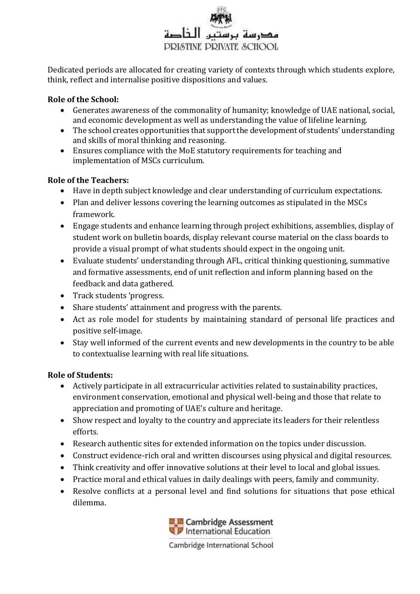

Dedicated periods are allocated for creating variety of contexts through which students explore, think, reflect and internalise positive dispositions and values.

# **Role of the School:**

- Generates awareness of the commonality of humanity; knowledge of UAE national, social, and economic development as well as understanding the value of lifeline learning.
- The school creates opportunities that support the development of students' understanding and skills of moral thinking and reasoning.
- Ensures compliance with the MoE statutory requirements for teaching and implementation of MSCs curriculum.

## **Role of the Teachers:**

- Have in depth subject knowledge and clear understanding of curriculum expectations.
- Plan and deliver lessons covering the learning outcomes as stipulated in the MSCs framework.
- Engage students and enhance learning through project exhibitions, assemblies, display of student work on bulletin boards, display relevant course material on the class boards to provide a visual prompt of what students should expect in the ongoing unit.
- Evaluate students' understanding through AFL, critical thinking questioning, summative and formative assessments, end of unit reflection and inform planning based on the feedback and data gathered.
- Track students 'progress.
- Share students' attainment and progress with the parents.
- Act as role model for students by maintaining standard of personal life practices and positive self-image.
- Stay well informed of the current events and new developments in the country to be able to contextualise learning with real life situations.

# **Role of Students:**

- Actively participate in all extracurricular activities related to sustainability practices, environment conservation, emotional and physical well-being and those that relate to appreciation and promoting of UAE's culture and heritage.
- Show respect and loyalty to the country and appreciate its leaders for their relentless efforts.
- Research authentic sites for extended information on the topics under discussion.
- Construct evidence-rich oral and written discourses using physical and digital resources.
- Think creativity and offer innovative solutions at their level to local and global issues.
- Practice moral and ethical values in daily dealings with peers, family and community.
- Resolve conflicts at a personal level and find solutions for situations that pose ethical dilemma.